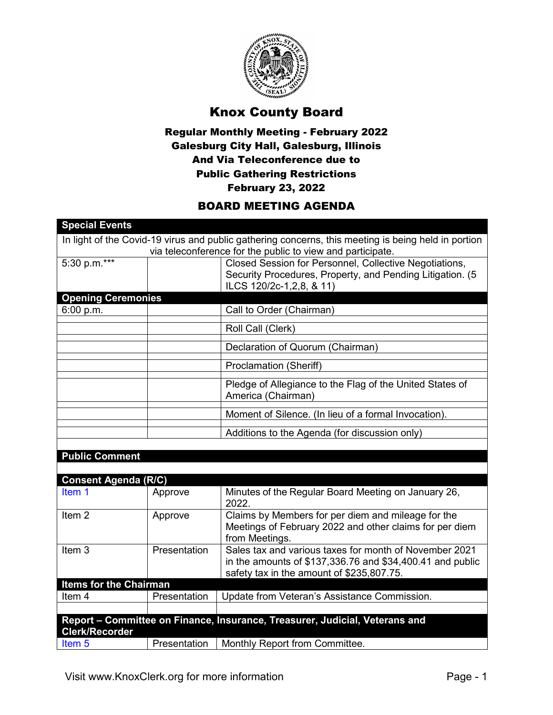

## Knox County Board

## Regular Monthly Meeting - February 2022 Galesburg City Hall, Galesburg, Illinois And Via Teleconference due to Public Gathering Restrictions February 23, 2022

## BOARD MEETING AGENDA

| <b>Special Events</b>                                                                               |              |                                                                             |  |  |
|-----------------------------------------------------------------------------------------------------|--------------|-----------------------------------------------------------------------------|--|--|
| In light of the Covid-19 virus and public gathering concerns, this meeting is being held in portion |              |                                                                             |  |  |
|                                                                                                     |              | via teleconference for the public to view and participate.                  |  |  |
| 5:30 p.m.***                                                                                        |              | Closed Session for Personnel, Collective Negotiations,                      |  |  |
|                                                                                                     |              | Security Procedures, Property, and Pending Litigation. (5                   |  |  |
|                                                                                                     |              | ILCS 120/2c-1,2,8, & 11)                                                    |  |  |
| <b>Opening Ceremonies</b>                                                                           |              |                                                                             |  |  |
| 6:00 p.m.                                                                                           |              | Call to Order (Chairman)                                                    |  |  |
|                                                                                                     |              | Roll Call (Clerk)                                                           |  |  |
|                                                                                                     |              | Declaration of Quorum (Chairman)                                            |  |  |
|                                                                                                     |              | <b>Proclamation (Sheriff)</b>                                               |  |  |
|                                                                                                     |              | Pledge of Allegiance to the Flag of the United States of                    |  |  |
|                                                                                                     |              | America (Chairman)                                                          |  |  |
|                                                                                                     |              | Moment of Silence. (In lieu of a formal Invocation).                        |  |  |
|                                                                                                     |              | Additions to the Agenda (for discussion only)                               |  |  |
|                                                                                                     |              |                                                                             |  |  |
| <b>Public Comment</b>                                                                               |              |                                                                             |  |  |
|                                                                                                     |              |                                                                             |  |  |
| <b>Consent Agenda (R/C)</b>                                                                         |              |                                                                             |  |  |
| Item 1                                                                                              | Approve      | Minutes of the Regular Board Meeting on January 26,<br>2022.                |  |  |
| Item <sub>2</sub>                                                                                   | Approve      | Claims by Members for per diem and mileage for the                          |  |  |
|                                                                                                     |              | Meetings of February 2022 and other claims for per diem                     |  |  |
|                                                                                                     |              | from Meetings.                                                              |  |  |
| Item <sub>3</sub>                                                                                   | Presentation | Sales tax and various taxes for month of November 2021                      |  |  |
|                                                                                                     |              | in the amounts of \$137,336.76 and \$34,400.41 and public                   |  |  |
|                                                                                                     |              | safety tax in the amount of \$235,807.75.                                   |  |  |
| <b>Items for the Chairman</b>                                                                       |              |                                                                             |  |  |
| Item 4                                                                                              | Presentation | Update from Veteran's Assistance Commission.                                |  |  |
|                                                                                                     |              |                                                                             |  |  |
|                                                                                                     |              | Report - Committee on Finance, Insurance, Treasurer, Judicial, Veterans and |  |  |
| <b>Clerk/Recorder</b>                                                                               |              |                                                                             |  |  |
| Item <sub>5</sub>                                                                                   | Presentation | Monthly Report from Committee.                                              |  |  |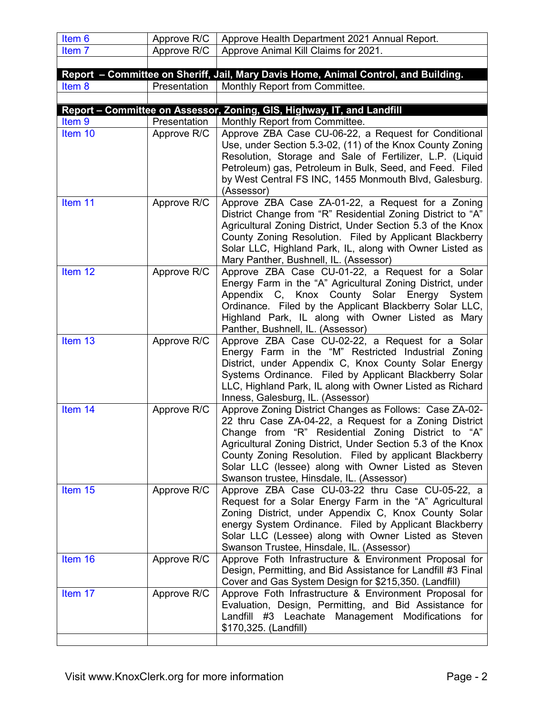| Item 6            | Approve R/C                 | Approve Health Department 2021 Annual Report.                                                                                                                                                                                                                                                                                                                                                          |
|-------------------|-----------------------------|--------------------------------------------------------------------------------------------------------------------------------------------------------------------------------------------------------------------------------------------------------------------------------------------------------------------------------------------------------------------------------------------------------|
| Item <sub>7</sub> | Approve R/C                 | Approve Animal Kill Claims for 2021.                                                                                                                                                                                                                                                                                                                                                                   |
|                   |                             |                                                                                                                                                                                                                                                                                                                                                                                                        |
|                   |                             | Report - Committee on Sheriff, Jail, Mary Davis Home, Animal Control, and Building.                                                                                                                                                                                                                                                                                                                    |
| Item 8            | Presentation                | Monthly Report from Committee.                                                                                                                                                                                                                                                                                                                                                                         |
|                   |                             |                                                                                                                                                                                                                                                                                                                                                                                                        |
|                   |                             | Report - Committee on Assessor, Zoning, GIS, Highway, IT, and Landfill                                                                                                                                                                                                                                                                                                                                 |
| Item 9<br>Item 10 | Presentation<br>Approve R/C | Monthly Report from Committee.<br>Approve ZBA Case CU-06-22, a Request for Conditional                                                                                                                                                                                                                                                                                                                 |
|                   |                             | Use, under Section 5.3-02, (11) of the Knox County Zoning<br>Resolution, Storage and Sale of Fertilizer, L.P. (Liquid<br>Petroleum) gas, Petroleum in Bulk, Seed, and Feed. Filed<br>by West Central FS INC, 1455 Monmouth Blvd, Galesburg.<br>(Assessor)                                                                                                                                              |
| Item 11           | Approve R/C                 | Approve ZBA Case ZA-01-22, a Request for a Zoning<br>District Change from "R" Residential Zoning District to "A"<br>Agricultural Zoning District, Under Section 5.3 of the Knox<br>County Zoning Resolution. Filed by Applicant Blackberry<br>Solar LLC, Highland Park, IL, along with Owner Listed as<br>Mary Panther, Bushnell, IL. (Assessor)                                                       |
| Item 12           | Approve R/C                 | Approve ZBA Case CU-01-22, a Request for a Solar<br>Energy Farm in the "A" Agricultural Zoning District, under<br>Appendix C, Knox County Solar Energy System<br>Ordinance. Filed by the Applicant Blackberry Solar LLC,<br>Highland Park, IL along with Owner Listed as Mary<br>Panther, Bushnell, IL. (Assessor)                                                                                     |
| Item 13           | Approve R/C                 | Approve ZBA Case CU-02-22, a Request for a Solar<br>Energy Farm in the "M" Restricted Industrial Zoning<br>District, under Appendix C, Knox County Solar Energy<br>Systems Ordinance. Filed by Applicant Blackberry Solar<br>LLC, Highland Park, IL along with Owner Listed as Richard<br>Inness, Galesburg, IL. (Assessor)                                                                            |
| Item 14           | Approve R/C                 | Approve Zoning District Changes as Follows: Case ZA-02-<br>22 thru Case ZA-04-22, a Request for a Zoning District<br>Change from "R" Residential Zoning District to "A"<br>Agricultural Zoning District, Under Section 5.3 of the Knox<br>County Zoning Resolution. Filed by applicant Blackberry<br>Solar LLC (lessee) along with Owner Listed as Steven<br>Swanson trustee, Hinsdale, IL. (Assessor) |
| Item 15           | Approve R/C                 | Approve ZBA Case CU-03-22 thru Case CU-05-22, a<br>Request for a Solar Energy Farm in the "A" Agricultural<br>Zoning District, under Appendix C, Knox County Solar<br>energy System Ordinance. Filed by Applicant Blackberry<br>Solar LLC (Lessee) along with Owner Listed as Steven<br>Swanson Trustee, Hinsdale, IL. (Assessor)                                                                      |
| Item 16           | Approve R/C                 | Approve Foth Infrastructure & Environment Proposal for<br>Design, Permitting, and Bid Assistance for Landfill #3 Final<br>Cover and Gas System Design for \$215,350. (Landfill)                                                                                                                                                                                                                        |
| Item 17           | Approve R/C                 | Approve Foth Infrastructure & Environment Proposal for<br>Evaluation, Design, Permitting, and Bid Assistance for<br>Landfill #3 Leachate Management Modifications<br>for<br>\$170,325. (Landfill)                                                                                                                                                                                                      |
|                   |                             |                                                                                                                                                                                                                                                                                                                                                                                                        |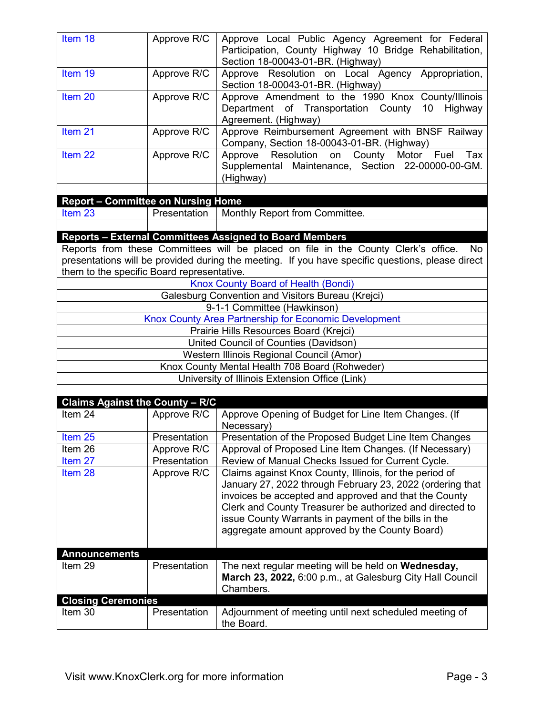| Item 18                                              | Approve R/C  | Approve Local Public Agency Agreement for Federal<br>Participation, County Highway 10 Bridge Rehabilitation,                                                                                                                                                                                                                                        |  |  |
|------------------------------------------------------|--------------|-----------------------------------------------------------------------------------------------------------------------------------------------------------------------------------------------------------------------------------------------------------------------------------------------------------------------------------------------------|--|--|
| Item 19                                              | Approve R/C  | Section 18-00043-01-BR. (Highway)<br>Approve Resolution on Local Agency Appropriation,<br>Section 18-00043-01-BR. (Highway)                                                                                                                                                                                                                         |  |  |
| Item 20                                              | Approve R/C  | Approve Amendment to the 1990 Knox County/Illinois<br>Department of Transportation County<br>10<br>Highway<br>Agreement. (Highway)                                                                                                                                                                                                                  |  |  |
| Item <sub>21</sub>                                   | Approve R/C  | Approve Reimbursement Agreement with BNSF Railway<br>Company, Section 18-00043-01-BR. (Highway)                                                                                                                                                                                                                                                     |  |  |
| Item <sub>22</sub>                                   | Approve R/C  | Approve Resolution on County<br>Tax<br>Motor<br>Fuel<br>Supplemental Maintenance, Section 22-00000-00-GM.<br>(Highway)                                                                                                                                                                                                                              |  |  |
|                                                      |              |                                                                                                                                                                                                                                                                                                                                                     |  |  |
| <b>Report - Committee on Nursing Home</b><br>Item 23 | Presentation | Monthly Report from Committee.                                                                                                                                                                                                                                                                                                                      |  |  |
|                                                      |              |                                                                                                                                                                                                                                                                                                                                                     |  |  |
|                                                      |              | <b>Reports - External Committees Assigned to Board Members</b>                                                                                                                                                                                                                                                                                      |  |  |
|                                                      |              | Reports from these Committees will be placed on file in the County Clerk's office.<br>No                                                                                                                                                                                                                                                            |  |  |
|                                                      |              | presentations will be provided during the meeting. If you have specific questions, please direct                                                                                                                                                                                                                                                    |  |  |
| them to the specific Board representative.           |              |                                                                                                                                                                                                                                                                                                                                                     |  |  |
|                                                      |              | Knox County Board of Health (Bondi)                                                                                                                                                                                                                                                                                                                 |  |  |
|                                                      |              | Galesburg Convention and Visitors Bureau (Krejci)                                                                                                                                                                                                                                                                                                   |  |  |
|                                                      |              | 9-1-1 Committee (Hawkinson)                                                                                                                                                                                                                                                                                                                         |  |  |
|                                                      |              | Knox County Area Partnership for Economic Development<br>Prairie Hills Resources Board (Krejci)                                                                                                                                                                                                                                                     |  |  |
|                                                      |              | United Council of Counties (Davidson)                                                                                                                                                                                                                                                                                                               |  |  |
| Western Illinois Regional Council (Amor)             |              |                                                                                                                                                                                                                                                                                                                                                     |  |  |
| Knox County Mental Health 708 Board (Rohweder)       |              |                                                                                                                                                                                                                                                                                                                                                     |  |  |
| University of Illinois Extension Office (Link)       |              |                                                                                                                                                                                                                                                                                                                                                     |  |  |
|                                                      |              |                                                                                                                                                                                                                                                                                                                                                     |  |  |
| Claims Against the County - R/C                      |              |                                                                                                                                                                                                                                                                                                                                                     |  |  |
| Item 24                                              | Approve R/C  | Approve Opening of Budget for Line Item Changes. (If<br>Necessary)                                                                                                                                                                                                                                                                                  |  |  |
| Item <sub>25</sub>                                   | Presentation | Presentation of the Proposed Budget Line Item Changes                                                                                                                                                                                                                                                                                               |  |  |
| Item 26                                              | Approve R/C  | Approval of Proposed Line Item Changes. (If Necessary)                                                                                                                                                                                                                                                                                              |  |  |
| Item 27                                              | Presentation | Review of Manual Checks Issued for Current Cycle.                                                                                                                                                                                                                                                                                                   |  |  |
| Item 28                                              | Approve R/C  | Claims against Knox County, Illinois, for the period of<br>January 27, 2022 through February 23, 2022 (ordering that<br>invoices be accepted and approved and that the County<br>Clerk and County Treasurer be authorized and directed to<br>issue County Warrants in payment of the bills in the<br>aggregate amount approved by the County Board) |  |  |
|                                                      |              |                                                                                                                                                                                                                                                                                                                                                     |  |  |
| <b>Announcements</b>                                 |              |                                                                                                                                                                                                                                                                                                                                                     |  |  |
| Item 29                                              | Presentation | The next regular meeting will be held on Wednesday,<br>March 23, 2022, 6:00 p.m., at Galesburg City Hall Council<br>Chambers.                                                                                                                                                                                                                       |  |  |
| <b>Closing Ceremonies</b>                            |              |                                                                                                                                                                                                                                                                                                                                                     |  |  |
| Item 30                                              | Presentation | Adjournment of meeting until next scheduled meeting of<br>the Board.                                                                                                                                                                                                                                                                                |  |  |